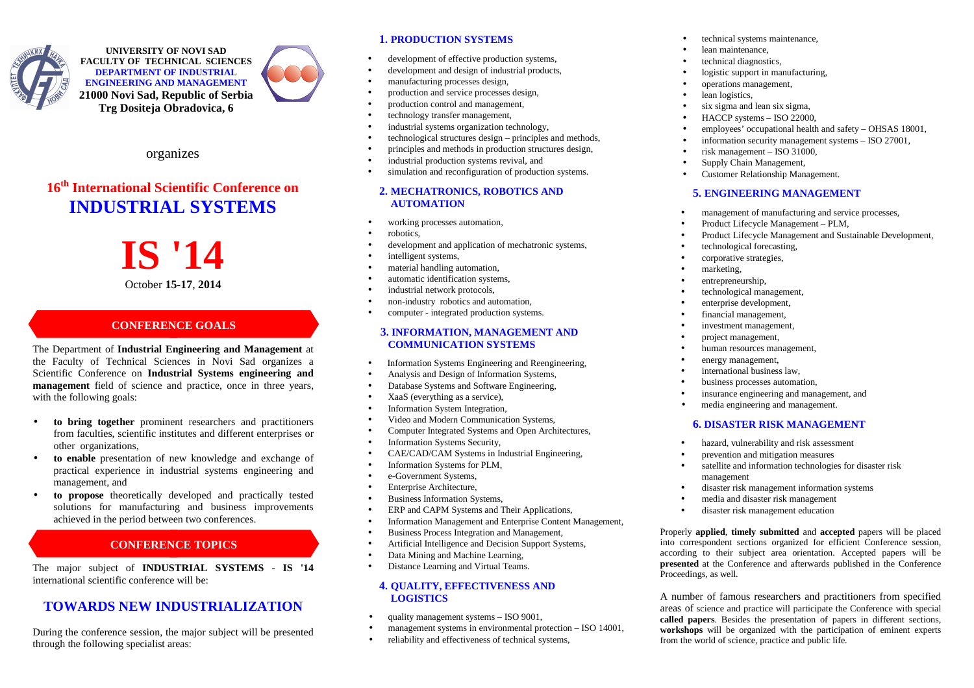

**UNIVERSITY OF NOVI SAD FACULTY OF TECHNICAL SCIENCES DEPARTMENT OF INDUSTRIAL ENGINEERING AND MANAGEMENT 21000 Novi Sad, Republic of Serbia Trg Dositeja Obradovica, 6**



organizes

# **16th International Scientific Conference onINDUSTRIAL SYSTEMS**

# **IS '14**October **15-17**, **2014**

# **CONFERENCE GOALS**

The Department of **Industrial Engineering and Management** at the Faculty of Technical Sciences in Novi Sad organizes a Scientific Conference on **Industrial Systems engineering and management** field of science and practice, once in three years,with the following goals:

- • **to bring together** prominent researchers and practitioners from faculties, scientific institutes and different enterprises or other organizations,
- **to enable** presentation of new knowledge and exchange of •practical experience in industrial systems engineering and management, and
- • **to propose** theoretically developed and practically tested solutions for manufacturing and business improvements achieved in the period between two conferences.

# **CONFERENCE TOPICS**

The major subject of **INDUSTRIAL SYSTEMS** - **IS '14** international scientific conference will be:

# **TOWARDS NEW INDUSTRIALIZATION**

During the conference session, the major subject will be presented through the following specialist areas:

# **1. PRODUCTION SYSTEMS**

- •development of effective production systems,
- •development and design of industrial products,
- •manufacturing processes design,
- •production and service processes design,
- •production control and management,
- •technology transfer management,
- •industrial systems organization technology,
- •technological structures design – principles and methods,
- •principles and methods in production structures design,
- •industrial production systems revival, and
- •simulation and reconfiguration of production systems.

# **2. MECHATRONICS, ROBOTICS AND AUTOMATION**

- •working processes automation,
- •robotics,
- •development and application of mechatronic systems,
- •intelligent systems,
- •material handling automation,
- •automatic identification systems,
- •industrial network protocols,
- •non-industry robotics and automation,
- •computer - integrated production systems.

# **3. INFORMATION, MANAGEMENT AND COMMUNICATION SYSTEMS**

- •Information Systems Engineering and Reengineering,
- •Analysis and Design of Information Systems,
- •Database Systems and Software Engineering,
- •XaaS (everything as a service),
- •Information System Integration,
- •Video and Modern Communication Systems,
- •Computer Integrated Systems and Open Architectures,
- •Information Systems Security,
- •CAE/CAD/CAM Systems in Industrial Engineering,
- •Information Systems for PLM,
- •e-Government Systems,
- •Enterprise Architecture,
- •Business Information Systems,
- •ERP and CAPM Systems and Their Applications,
- •Information Management and Enterprise Content Management,
- •Business Process Integration and Management,
- •Artificial Intelligence and Decision Support Systems,
- •Data Mining and Machine Learning,
- •Distance Learning and Virtual Teams.

### **4. QUALITY, EFFECTIVENESS AND LOGISTICS**

- •quality management systems – ISO 9001,
- •management systems in environmental protection – ISO 14001,
- •reliability and effectiveness of technical systems,
- •technical systems maintenance,
- •lean maintenance,
- •technical diagnostics,
- •logistic support in manufacturing,
- •operations management,
- •lean logistics,
- •six sigma and lean six sigma,
- •HACCP systems – ISO 22000,
- •employees' occupational health and safety – OHSAS 18001,
- •information security management systems – ISO 27001,
- •risk management – ISO 31000,
- •Supply Chain Management,
- •Customer Relationship Management.

# **5. ENGINEERING MANAGEMENT**

- •management of manufacturing and service processes,
- •Product Lifecycle Management – PLM,
- •Product Lifecycle Management and Sustainable Development,
- •technological forecasting,
- •corporative strategies,
- •marketing,
- •entrepreneurship,
- •technological management,
- •enterprise development,
- •financial management,
- •investment management,
- •project management,
- •human resources management,
- •energy management,
- •international business law,
- •business processes automation,
- •insurance engineering and management, and
- •media engineering and management.

# **6. DISASTER RISK MANAGEMENT**

- •hazard, vulnerability and risk assessment
- •prevention and mitigation measures
- • satellite and information technologies for disaster risk management

Properly **applied**, **timely submitted** and **accepted** papers will be placed into correspondent sections organized for efficient Conference session, according to their subject area orientation. Accepted papers will be **presented** at the Conference and afterwards published in the Conference

A number of famous researchers and practitioners from specified areas of science and practice will participate the Conference with special **called papers**. Besides the presentation of papers in different sections, **workshops** will be organized with the participation of eminent experts

- disaster risk management information systems •
- •media and disaster risk management
- •disaster risk management education

from the world of science, practice and public life.

Proceedings, as well.